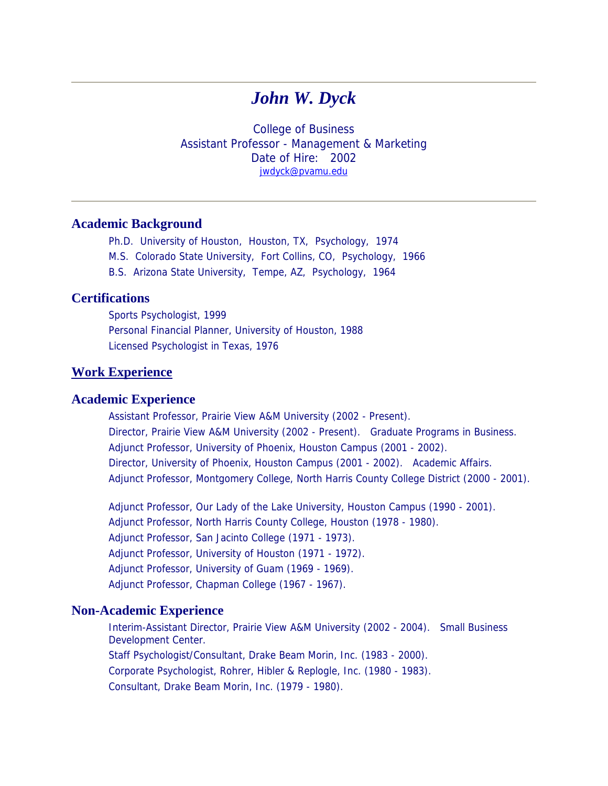# *John W. Dyck*

College of Business Assistant Professor - Management & Marketing Date of Hire: 2002 [jwdyck@pvamu.edu](mailto:jwdyck@pvamu.edu)

## **Academic Background**

- Ph.D. University of Houston, Houston, TX, Psychology, 1974
- M.S. Colorado State University, Fort Collins, CO, Psychology, 1966
- B.S. Arizona State University, Tempe, AZ, Psychology, 1964

## **Certifications**

Sports Psychologist, 1999 Personal Financial Planner, University of Houston, 1988 Licensed Psychologist in Texas, 1976

# **Work Experience**

# **Academic Experience**

Assistant Professor, Prairie View A&M University (2002 - Present). Director, Prairie View A&M University (2002 - Present). Graduate Programs in Business. Adjunct Professor, University of Phoenix, Houston Campus (2001 - 2002). Director, University of Phoenix, Houston Campus (2001 - 2002). Academic Affairs. Adjunct Professor, Montgomery College, North Harris County College District (2000 - 2001).

Adjunct Professor, Our Lady of the Lake University, Houston Campus (1990 - 2001). Adjunct Professor, North Harris County College, Houston (1978 - 1980). Adjunct Professor, San Jacinto College (1971 - 1973). Adjunct Professor, University of Houston (1971 - 1972). Adjunct Professor, University of Guam (1969 - 1969). Adjunct Professor, Chapman College (1967 - 1967).

#### **Non-Academic Experience**

Interim-Assistant Director, Prairie View A&M University (2002 - 2004). Small Business Development Center. Staff Psychologist/Consultant, Drake Beam Morin, Inc. (1983 - 2000). Corporate Psychologist, Rohrer, Hibler & Replogle, Inc. (1980 - 1983). Consultant, Drake Beam Morin, Inc. (1979 - 1980).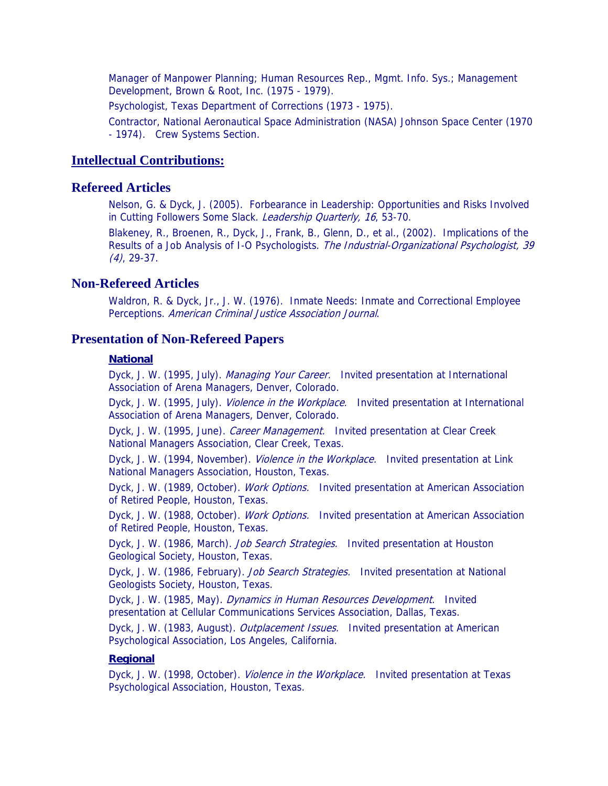Manager of Manpower Planning; Human Resources Rep., Mgmt. Info. Sys.; Management Development, Brown & Root, Inc. (1975 - 1979).

Psychologist, Texas Department of Corrections (1973 - 1975).

Contractor, National Aeronautical Space Administration (NASA) Johnson Space Center (1970 - 1974). Crew Systems Section.

#### **Intellectual Contributions:**

## **Refereed Articles**

Nelson, G. & Dyck, J. (2005). Forbearance in Leadership: Opportunities and Risks Involved in Cutting Followers Some Slack. Leadership Quarterly, 16, 53-70.

Blakeney, R., Broenen, R., Dyck, J., Frank, B., Glenn, D., et al., (2002). Implications of the Results of a Job Analysis of I-O Psychologists. The Industrial-Organizational Psychologist, 39  $(4)$ , 29-37.

## **Non-Refereed Articles**

Waldron, R. & Dyck, Jr., J. W. (1976). Inmate Needs: Inmate and Correctional Employee Perceptions. American Criminal Justice Association Journal.

#### **Presentation of Non-Refereed Papers**

#### **National**

Dyck, J. W. (1995, July). Managing Your Career. Invited presentation at International Association of Arena Managers, Denver, Colorado.

Dyck, J. W. (1995, July). *Violence in the Workplace.* Invited presentation at International Association of Arena Managers, Denver, Colorado.

Dyck, J. W. (1995, June). Career Management. Invited presentation at Clear Creek National Managers Association, Clear Creek, Texas.

Dyck, J. W. (1994, November). *Violence in the Workplace.* Invited presentation at Link National Managers Association, Houston, Texas.

Dyck, J. W. (1989, October). Work Options. Invited presentation at American Association of Retired People, Houston, Texas.

Dyck, J. W. (1988, October). Work Options. Invited presentation at American Association of Retired People, Houston, Texas.

Dyck, J. W. (1986, March). *Job Search Strategies.* Invited presentation at Houston Geological Society, Houston, Texas.

Dyck, J. W. (1986, February). Job Search Strategies. Invited presentation at National Geologists Society, Houston, Texas.

Dyck, J. W. (1985, May). Dynamics in Human Resources Development. Invited presentation at Cellular Communications Services Association, Dallas, Texas.

Dyck, J. W. (1983, August). *Outplacement Issues.* Invited presentation at American Psychological Association, Los Angeles, California.

#### **Regional**

Dyck, J. W. (1998, October). *Violence in the Workplace.* Invited presentation at Texas Psychological Association, Houston, Texas.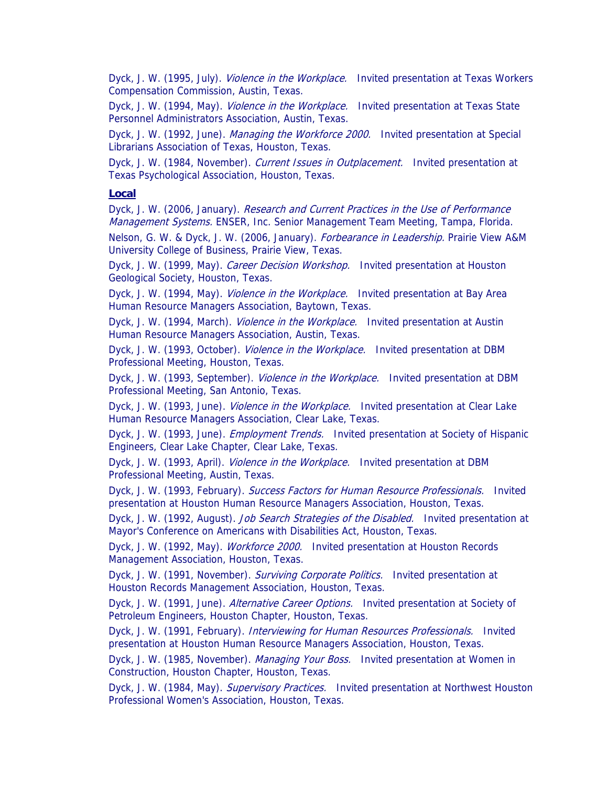Dyck, J. W. (1995, July). *Violence in the Workplace.* Invited presentation at Texas Workers Compensation Commission, Austin, Texas.

Dyck, J. W. (1994, May). *Violence in the Workplace.* Invited presentation at Texas State Personnel Administrators Association, Austin, Texas.

Dyck, J. W. (1992, June). Managing the Workforce 2000. Invited presentation at Special Librarians Association of Texas, Houston, Texas.

Dyck, J. W. (1984, November). Current Issues in Outplacement. Invited presentation at Texas Psychological Association, Houston, Texas.

#### **Local**

Dyck, J. W. (2006, January). Research and Current Practices in the Use of Performance Management Systems. ENSER, Inc. Senior Management Team Meeting, Tampa, Florida.

Nelson, G. W. & Dyck, J. W. (2006, January). Forbearance in Leadership. Prairie View A&M University College of Business, Prairie View, Texas.

Dyck, J. W. (1999, May). Career Decision Workshop. Invited presentation at Houston Geological Society, Houston, Texas.

Dyck, J. W. (1994, May). *Violence in the Workplace.* Invited presentation at Bay Area Human Resource Managers Association, Baytown, Texas.

Dyck, J. W. (1994, March). *Violence in the Workplace.* Invited presentation at Austin Human Resource Managers Association, Austin, Texas.

Dyck, J. W. (1993, October). *Violence in the Workplace.* Invited presentation at DBM Professional Meeting, Houston, Texas.

Dyck, J. W. (1993, September). *Violence in the Workplace.* Invited presentation at DBM Professional Meeting, San Antonio, Texas.

Dyck, J. W. (1993, June). *Violence in the Workplace.* Invited presentation at Clear Lake Human Resource Managers Association, Clear Lake, Texas.

Dyck, J. W. (1993, June). *Employment Trends.* Invited presentation at Society of Hispanic Engineers, Clear Lake Chapter, Clear Lake, Texas.

Dyck, J. W. (1993, April). *Violence in the Workplace.* Invited presentation at DBM Professional Meeting, Austin, Texas.

Dyck, J. W. (1993, February). Success Factors for Human Resource Professionals. Invited presentation at Houston Human Resource Managers Association, Houston, Texas.

Dyck, J. W. (1992, August). Job Search Strategies of the Disabled. Invited presentation at Mayor's Conference on Americans with Disabilities Act, Houston, Texas.

Dyck, J. W. (1992, May). *Workforce 2000.* Invited presentation at Houston Records Management Association, Houston, Texas.

Dyck, J. W. (1991, November). Surviving Corporate Politics. Invited presentation at Houston Records Management Association, Houston, Texas.

Dyck, J. W. (1991, June). Alternative Career Options. Invited presentation at Society of Petroleum Engineers, Houston Chapter, Houston, Texas.

Dyck, J. W. (1991, February). *Interviewing for Human Resources Professionals.* Invited presentation at Houston Human Resource Managers Association, Houston, Texas.

Dyck, J. W. (1985, November). Managing Your Boss. Invited presentation at Women in Construction, Houston Chapter, Houston, Texas.

Dyck, J. W. (1984, May). Supervisory Practices. Invited presentation at Northwest Houston Professional Women's Association, Houston, Texas.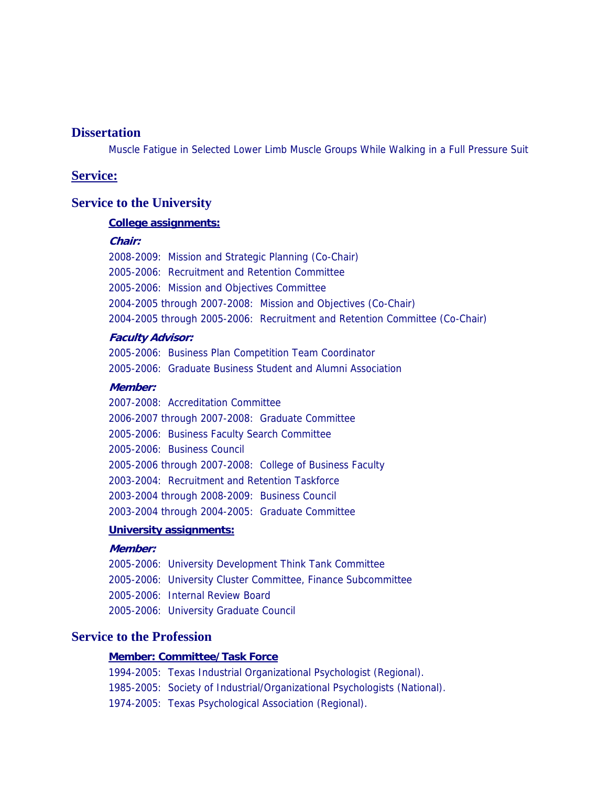# **Dissertation**

Muscle Fatigue in Selected Lower Limb Muscle Groups While Walking in a Full Pressure Suit

## **Service:**

## **Service to the University**

#### **College assignments:**

#### **Chair:**

2008-2009: Mission and Strategic Planning (Co-Chair) 2005-2006: Recruitment and Retention Committee 2005-2006: Mission and Objectives Committee 2004-2005 through 2007-2008: Mission and Objectives (Co-Chair) 2004-2005 through 2005-2006: Recruitment and Retention Committee (Co-Chair)

#### **Faculty Advisor:**

2005-2006: Business Plan Competition Team Coordinator 2005-2006: Graduate Business Student and Alumni Association

## **Member:**

2007-2008: Accreditation Committee 2006-2007 through 2007-2008: Graduate Committee 2005-2006: Business Faculty Search Committee 2005-2006: Business Council 2005-2006 through 2007-2008: College of Business Faculty 2003-2004: Recruitment and Retention Taskforce 2003-2004 through 2008-2009: Business Council 2003-2004 through 2004-2005: Graduate Committee

# **University assignments:**

## **Member:**

2005-2006: University Development Think Tank Committee 2005-2006: University Cluster Committee, Finance Subcommittee 2005-2006: Internal Review Board 2005-2006: University Graduate Council

# **Service to the Profession**

#### **Member: Committee/Task Force**

1994-2005: Texas Industrial Organizational Psychologist (Regional). 1985-2005: Society of Industrial/Organizational Psychologists (National). 1974-2005: Texas Psychological Association (Regional).